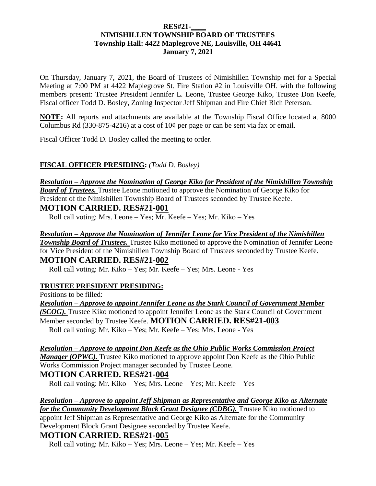#### **RES#21-\_\_\_\_ NIMISHILLEN TOWNSHIP BOARD OF TRUSTEES Township Hall: 4422 Maplegrove NE, Louisville, OH 44641 January 7, 2021**

On Thursday, January 7, 2021, the Board of Trustees of Nimishillen Township met for a Special Meeting at 7:00 PM at 4422 Maplegrove St. Fire Station #2 in Louisville OH. with the following members present: Trustee President Jennifer L. Leone, Trustee George Kiko, Trustee Don Keefe, Fiscal officer Todd D. Bosley, Zoning Inspector Jeff Shipman and Fire Chief Rich Peterson.

**NOTE:** All reports and attachments are available at the Township Fiscal Office located at 8000 Columbus Rd (330-875-4216) at a cost of  $10¢$  per page or can be sent via fax or email.

Fiscal Officer Todd D. Bosley called the meeting to order.

# **FISCAL OFFICER PRESIDING:** *(Todd D. Bosley)*

# *Resolution – Approve the Nomination of George Kiko for President of the Nimishillen Township*

*Board of Trustees.* Trustee Leone motioned to approve the Nomination of George Kiko for President of the Nimishillen Township Board of Trustees seconded by Trustee Keefe.

# **MOTION CARRIED. RES#21-001**

Roll call voting: Mrs. Leone – Yes; Mr. Keefe – Yes; Mr. Kiko – Yes

#### *Resolution – Approve the Nomination of Jennifer Leone for Vice President of the Nimishillen Township Board of Trustees.* Trustee Kiko motioned to approve the Nomination of Jennifer Leone for Vice President of the Nimishillen Township Board of Trustees seconded by Trustee Keefe. **MOTION CARRIED. RES#21-002**

Roll call voting: Mr. Kiko – Yes; Mr. Keefe – Yes; Mrs. Leone - Yes

# **TRUSTEE PRESIDENT PRESIDING:**

Positions to be filled:

*Resolution – Approve to appoint Jennifer Leone as the Stark Council of Government Member (SCOG).* Trustee Kiko motioned to appoint Jennifer Leone as the Stark Council of Government Member seconded by Trustee Keefe. **MOTION CARRIED. RES#21-003**  Roll call voting: Mr. Kiko – Yes; Mr. Keefe – Yes; Mrs. Leone - Yes

*Resolution – Approve to appoint Don Keefe as the Ohio Public Works Commission Project Manager (OPWC)*. Trustee Kiko motioned to approve appoint Don Keefe as the Ohio Public Works Commission Project manager seconded by Trustee Leone.

# **MOTION CARRIED. RES#21-004**

Roll call voting: Mr. Kiko – Yes; Mrs. Leone – Yes; Mr. Keefe – Yes

# *Resolution – Approve to appoint Jeff Shipman as Representative and George Kiko as Alternate*

*for the Community Development Block Grant Designee (CDBG)*. Trustee Kiko motioned to appoint Jeff Shipman as Representative and George Kiko as Alternate for the Community Development Block Grant Designee seconded by Trustee Keefe.

# **MOTION CARRIED. RES#21-005**

Roll call voting: Mr. Kiko – Yes; Mrs. Leone – Yes; Mr. Keefe – Yes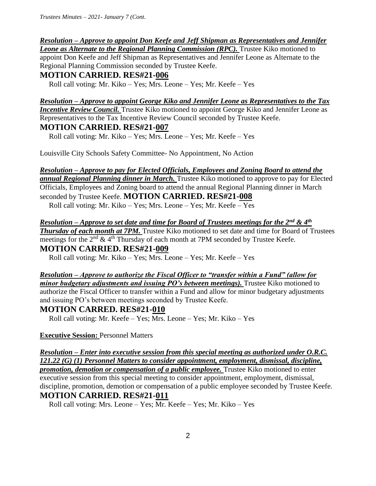*Trustees Minutes – 2021- January 7 (Cont.*

*Resolution – Approve to appoint Don Keefe and Jeff Shipman as Representatives and Jennifer Leone as Alternate to the Regional Planning Commission (RPC).* Trustee Kiko motioned to appoint Don Keefe and Jeff Shipman as Representatives and Jennifer Leone as Alternate to the Regional Planning Commission seconded by Trustee Keefe.

**MOTION CARRIED. RES#21-006** 

Roll call voting: Mr. Kiko – Yes; Mrs. Leone – Yes; Mr. Keefe – Yes

*Resolution – Approve to appoint George Kiko and Jennifer Leone as Representatives to the Tax Incentive Review Council.* Trustee Kiko motioned to appoint George Kiko and Jennifer Leone as Representatives to the Tax Incentive Review Council seconded by Trustee Keefe. **MOTION CARRIED. RES#21-007** 

Roll call voting: Mr. Kiko – Yes; Mrs. Leone – Yes; Mr. Keefe – Yes

Louisville City Schools Safety Committee- No Appointment, No Action

#### *Resolution – Approve to pay for Elected Officials, Employees and Zoning Board to attend the*

*annual Regional Planning dinner in March.* Trustee Kiko motioned to approve to pay for Elected Officials, Employees and Zoning board to attend the annual Regional Planning dinner in March seconded by Trustee Keefe. **MOTION CARRIED. RES#21-008** 

Roll call voting: Mr. Kiko – Yes; Mrs. Leone – Yes; Mr. Keefe – Yes

*Resolution – Approve to set date and time for Board of Trustees meetings for the 2nd & 4th Thursday of each month at 7PM.* Trustee Kiko motioned to set date and time for Board of Trustees meetings for the  $2<sup>nd</sup>$  & 4<sup>th</sup> Thursday of each month at 7PM seconded by Trustee Keefe. **MOTION CARRIED. RES#21-009** 

Roll call voting: Mr. Kiko – Yes; Mrs. Leone – Yes; Mr. Keefe – Yes

# *Resolution – Approve to authorize the Fiscal Officer to "transfer within a Fund" (allow for minor budgetary adjustments and issuing PO's between meetings).* Trustee Kiko motioned to authorize the Fiscal Officer to transfer within a Fund and allow for minor budgetary adjustments and issuing PO's between meetings seconded by Trustee Keefe.

# **MOTION CARRED. RES#21-010**

Roll call voting: Mr. Keefe – Yes; Mrs. Leone – Yes; Mr. Kiko – Yes

**Executive Session: Personnel Matters** 

*Resolution – Enter into executive session from this special meeting as authorized under O.R.C. 121.22 (G) (1) Personnel Matters to consider appointment, employment, dismissal, discipline, promotion, demotion or compensation of a public employee.* Trustee Kiko motioned to enter executive session from this special meeting to consider appointment, employment, dismissal, discipline, promotion, demotion or compensation of a public employee seconded by Trustee Keefe. **MOTION CARRIED. RES#21-011** 

Roll call voting: Mrs. Leone – Yes; Mr. Keefe – Yes; Mr. Kiko – Yes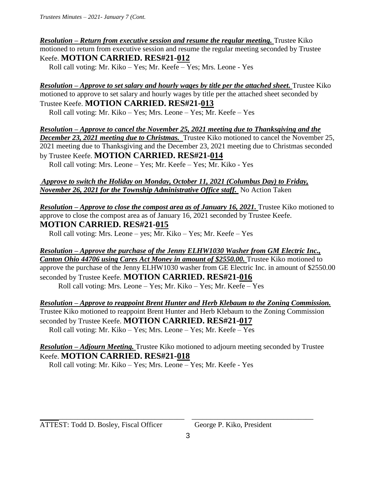*Resolution – Return from executive session and resume the regular meeting. Trustee Kiko* motioned to return from executive session and resume the regular meeting seconded by Trustee Keefe. **MOTION CARRIED. RES#21-012** 

Roll call voting: Mr. Kiko – Yes; Mr. Keefe – Yes; Mrs. Leone - Yes

*Resolution – Approve to set salary and hourly wages by title per the attached sheet.* Trustee Kiko motioned to approve to set salary and hourly wages by title per the attached sheet seconded by Trustee Keefe. **MOTION CARRIED. RES#21-013**

Roll call voting: Mr. Kiko – Yes; Mrs. Leone – Yes; Mr. Keefe – Yes

*Resolution – Approve to cancel the November 25, 2021 meeting due to Thanksgiving and the*  **December 23, 2021 meeting due to Christmas.** Trustee Kiko motioned to cancel the November 25, 2021 meeting due to Thanksgiving and the December 23, 2021 meeting due to Christmas seconded by Trustee Keefe. **MOTION CARRIED. RES#21-014** Roll call voting: Mrs. Leone – Yes; Mr. Keefe – Yes; Mr. Kiko - Yes

*Approve to switch the Holiday on Monday, October 11, 2021 (Columbus Day) to Friday, November 26, 2021 for the Township Administrative Office staff.* No Action Taken

*Resolution – Approve to close the compost area as of January 16, 2021.* Trustee Kiko motioned to approve to close the compost area as of January 16, 2021 seconded by Trustee Keefe. **MOTION CARRIED. RES#21-015**

Roll call voting: Mrs. Leone – yes; Mr. Kiko – Yes; Mr. Keefe – Yes

*Resolution – Approve the purchase of the Jenny ELHW1030 Washer from GM Electric Inc., Canton Ohio 44706 using Cares Act Money in amount of \$2550.00.* Trustee Kiko motioned to approve the purchase of the Jenny ELHW1030 washer from GE Electric Inc. in amount of \$2550.00 seconded by Trustee Keefe. **MOTION CARRIED. RES#21-016** Roll call voting: Mrs. Leone – Yes; Mr. Kiko – Yes; Mr. Keefe – Yes

*Resolution – Approve to reappoint Brent Hunter and Herb Klebaum to the Zoning Commission.*  Trustee Kiko motioned to reappoint Brent Hunter and Herb Klebaum to the Zoning Commission seconded by Trustee Keefe. **MOTION CARRIED. RES#21-017**  Roll call voting: Mr. Kiko – Yes; Mrs. Leone – Yes; Mr. Keefe – Yes

*Resolution – Adjourn Meeting.* Trustee Kiko motioned to adjourn meeting seconded by Trustee Keefe. **MOTION CARRIED. RES#21-018** 

Roll call voting: Mr. Kiko – Yes; Mrs. Leone – Yes; Mr. Keefe - Yes